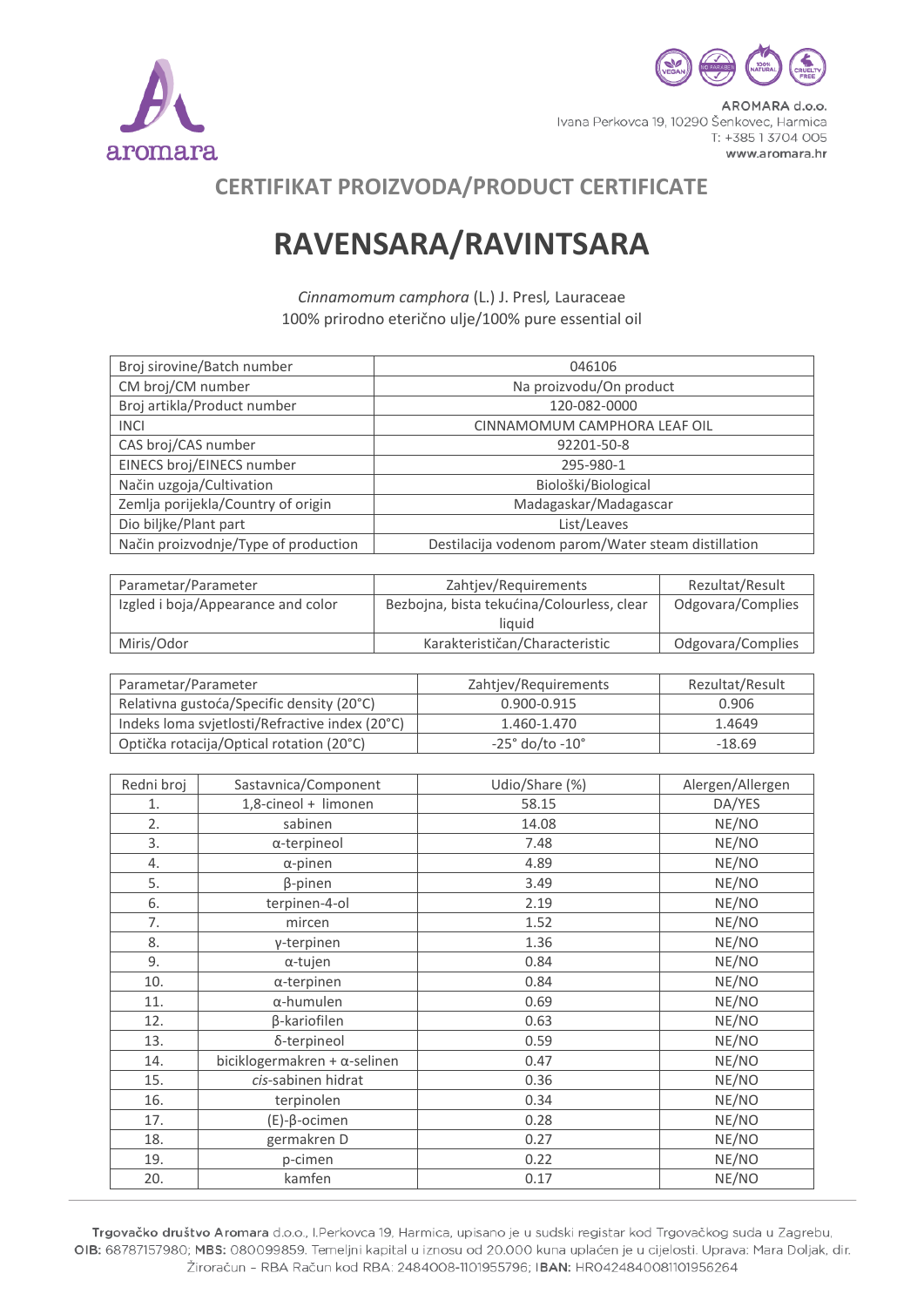



AROMARA d.o.o. Ivana Perkovca 19, 10290 Šenkovec, Harmica T: +385 1 3704 005 www.aromara.hr

## **CERTIFIKAT PROIZVODA/PRODUCT CERTIFICATE**

## **RAVENSARA/RAVINTSARA**

*Cinnamomum camphora* (L.) J. Presl*,* Lauraceae 100% prirodno eterično ulje/100% pure essential oil

| Broj sirovine/Batch number           | 046106                                             |
|--------------------------------------|----------------------------------------------------|
| CM broj/CM number                    | Na proizvodu/On product                            |
| Broj artikla/Product number          | 120-082-0000                                       |
| <b>INCI</b>                          | CINNAMOMUM CAMPHORA LEAF OIL                       |
| CAS broj/CAS number                  | 92201-50-8                                         |
| EINECS broj/EINECS number            | 295-980-1                                          |
| Način uzgoja/Cultivation             | Biološki/Biological                                |
| Zemlja porijekla/Country of origin   | Madagaskar/Madagascar                              |
| Dio biljke/Plant part                | List/Leaves                                        |
| Način proizvodnje/Type of production | Destilacija vodenom parom/Water steam distillation |

| Parametar/Parameter                | Zahtjev/Requirements                       | Rezultat/Result   |
|------------------------------------|--------------------------------------------|-------------------|
| Izgled i boja/Appearance and color | Bezbojna, bista tekućina/Colourless, clear | Odgovara/Complies |
|                                    | liauid                                     |                   |
| Miris/Odor                         | Karakterističan/Characteristic             | Odgovara/Complies |

| Parametar/Parameter                            | Zahtjev/Requirements          | Rezultat/Result |
|------------------------------------------------|-------------------------------|-----------------|
| Relativna gustoća/Specific density (20°C)      | $0.900 - 0.915$               | 0.906           |
| Indeks Ioma svjetlosti/Refractive index (20°C) | 1.460-1.470                   | 1.4649          |
| Optička rotacija/Optical rotation (20°C)       | $-25^\circ$ do/to $-10^\circ$ | $-18.69$        |

| Redni broj | Sastavnica/Component                 | Udio/Share (%) | Alergen/Allergen |
|------------|--------------------------------------|----------------|------------------|
| 1.         | 1,8-cineol + limonen                 | 58.15          | DA/YES           |
| 2.         | sabinen                              | 14.08          | NE/NO            |
| 3.         | α-terpineol                          | 7.48           | NE/NO            |
| 4.         | $\alpha$ -pinen                      | 4.89           | NE/NO            |
| 5.         | β-pinen                              | 3.49           | NE/NO            |
| 6.         | terpinen-4-ol                        | 2.19           | NE/NO            |
| 7.         | mircen                               | 1.52           | NE/NO            |
| 8.         | γ-terpinen                           | 1.36           | NE/NO            |
| 9.         | α-tujen                              | 0.84           | NE/NO            |
| 10.        | $\alpha$ -terpinen                   | 0.84           | NE/NO            |
| 11.        | $\alpha$ -humulen                    | 0.69           | NE/NO            |
| 12.        | β-kariofilen                         | 0.63           | NE/NO            |
| 13.        | δ-terpineol                          | 0.59           | NE/NO            |
| 14.        | biciklogermakren + $\alpha$ -selinen | 0.47           | NE/NO            |
| 15.        | cis-sabinen hidrat                   | 0.36           | NE/NO            |
| 16.        | terpinolen                           | 0.34           | NE/NO            |
| 17.        | $(E)-\beta$ -ocimen                  | 0.28           | NE/NO            |
| 18.        | germakren D                          | 0.27           | NE/NO            |
| 19.        | p-cimen                              | 0.22           | NE/NO            |
| 20.        | kamfen                               | 0.17           | NE/NO            |

Trgovačko društvo Aromara d.o.o., I.Perkovca 19, Harmica, upisano je u sudski registar kod Trgovačkog suda u Zagrebu, OIB: 68787157980; MBS: 080099859. Temeljni kapital u iznosu od 20.000 kuna uplaćen je u cijelosti. Uprava: Mara Doljak, dir. Žiroračun - RBA Račun kod RBA: 2484008-1101955796; IBAN: HR0424840081101956264